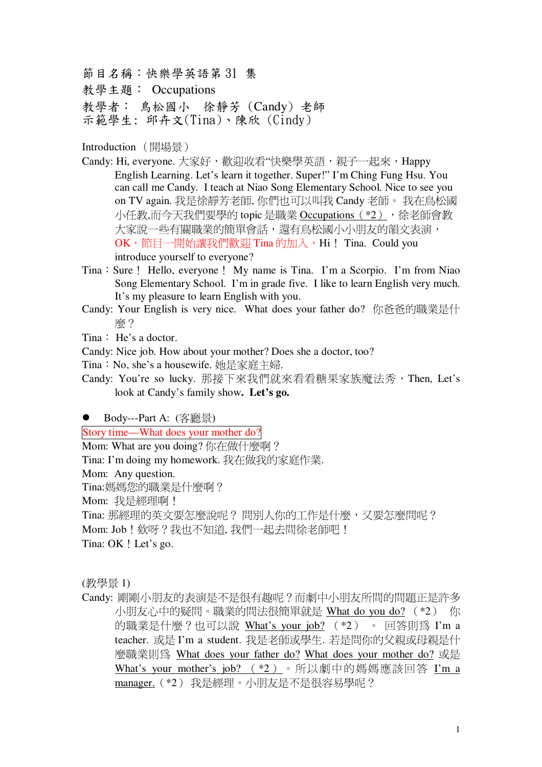節目名稱:快樂學英語第31集

教學主題: Occupations

教學者: 鳥松國小 徐靜芳 (Candy) 老師

示範學生: 邱卉文(Tina)、陳欣 (Cindy)

Introduction (開場景)

- Candy: Hi, everyone. 大家好,歡迎收看"快樂學英語,親子一起來,Happy English Learning. Let's learn it together. Super!" I'm Ching Fung Hsu. You can call me Candy. I teach at Niao Song Elementary School. Nice to see you on TV again. 我是徐靜芳老師, 你們也可以叫我 Candy 老師。 我在鳥松國 小任教,而今天我們要學的 topic 是職業 Occupations (\*2), 徐老師會教 大家說一些有關職業的簡單會話,還有鳥松國小小朋友的韻文表演,  $\rm OK$ ,節目一開始讓我們歡迎 Tina 的加入,Hi! Tina. Could you introduce yourself to everyone?
- Tina: Sure! Hello, everyone! My name is Tina. I'm a Scorpio. I'm from Niao Song Elementary School. I'm in grade five. I like to learn English very much. It's my pleasure to learn English with you.
- Candy: Your English is very nice. What does your father do? 你爸爸的職業是什 顾?
- $T$ ina: He's a doctor.

Candy: Nice job. How about your mother? Does she a doctor, too?

- Tina: No, she's a housewife. 她是家庭主婦.
- Candy: You're so lucky. 那接下來我們就來看看糖果家族魔法秀, Then, Let's look at Candy's family show**. Let's go.**

● Body---Part A:  $(\overline{\mathbb{R}}\overline{\mathbb{R}})$ 

Story time—What does your mother do?

Mom: What are you doing? 你在做什麼啊?

Tina: I'm doing my homework. 我在做我的家庭作業.

Mom: Any question.

Tina:媽媽您的職業是什麼啊?

Mom: 我是經理啊!

Tina: 那經理的英文要怎麼說呢?問別人你的工作是什麼,又要怎麼問呢?

Mom: Job ! 欸呀 ? 我也不知道, 我們一起去間徐老師吧 !

Tina: OK ! Let's go.

(教學景1)

Candy: 剛剛小朋友的表演是不是很有趣呢?而劇中小朋友所問的問題正是許多 小朋友心中的疑問。職業的問法很簡單就是 What do you do? (\*2) 你 的職業是什麼?也可以說 What's your job?  $(*2)$  。 回答則為 I'm a teacher. 或是 I'm a student. 我是老師或學生. 若是問你的父親或母親是什 麼職業則為 What does your father do? What does your mother do? 或是 What's your mother's job?  $(*2)$  。 所以劇中的媽媽應該回答 I'm a manager. (\*2) 我是經理。小朋友是不是很容易學呢?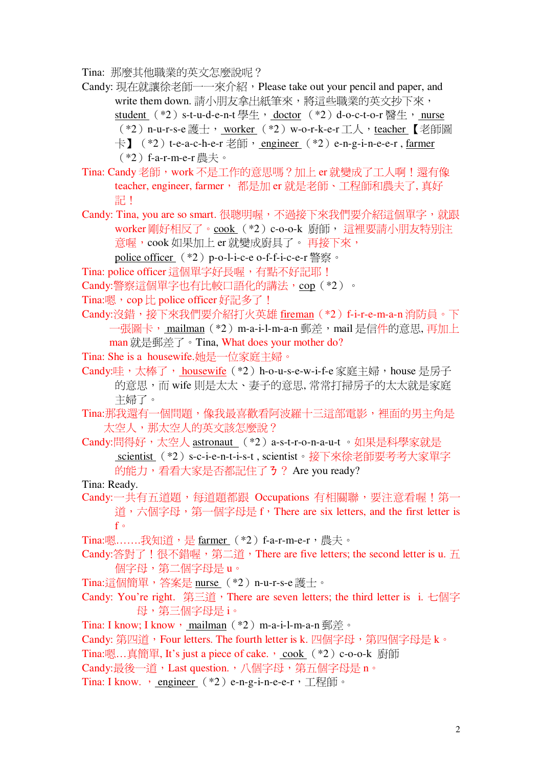Tina: 那麼其他職業的英文怎麼說呢?

Candy: 現在就讓徐老師一一來介紹, Please take out your pencil and paper, and write them down. 請小朋友拿出紙筆來, 將這些職業的英文抄下來, student (\*2) s-t-u-d-e-n-t 學牛, doctor (\*2) d-o-c-t-o-r 醫牛, nurse (\*2) n-u-r-s-e 護士, worker (\*2) w-o-r-k-e-r 工人, teacher 【老師圖 卡】 (\*2) t-e-a-c-h-e-r 老師, engineer (\*2) e-n-g-i-n-e-e-r, farmer (\*2) f-a-r-m-e-r 農夫。

Tina: Candy 老師, work 不是工作的意思嗎? 加上 er 就變成了工人啊!還有像 teacher, engineer, farmer, 都是加 er 就是老師、工程師和農夫了, 真好 記!

Candy: Tina, you are so smart. 很聰明喔, 不過接下來我們要介紹這個單字, 就跟 worker剛好相反了。cook (\*2) c-o-o-k 廚師, 這裡要請小朋友特別注 意喔,cook 如果加上 er 就變成廚具了。 再接下來, police officer (\*2) p-o-l-i-c-e o-f-f-i-c-e-r 警察。

Tina: police officer 這個單字好長喔, 有點不好記耶!

Candy:警察這個單字也有比較口語化的講法, cop (\*2)。

Tina:嗯, cop 比 police officer 好記多了!

Candy:沒錯,接下來我們要介紹打火英雄 fireman (\*2) f-i-r-e-m-a-n 消防員。下 一張圖卡, mailman (\*2) m-a-i-l-m-a-n 郵差, mail 是信件的意思, 再加上 man 就是郵差了。Tina, What does your mother do?

- Tina: She is a housewife.她是一位家庭主婦。
- Candy:哇,太棒了, housewife (\*2) h-o-u-s-e-w-i-f-e 家庭主婦, house 是房子 的意思,而 wife 則是太太、妻子的意思, 常常打掃房子的太太就是家庭 主婦了。

Tina:那我澴有一個問題,像我最喜歡看阿波羅十三這部雷影,裡面的男主角是 太空人,那太空人的英文該怎麼說?

Candy:間得好,太空人 astronaut (\*2) a-s-t-r-o-n-a-u-t。如果是科學家就是 scientist (\*2) s-c-i-e-n-t-i-s-t, scientist。接下來徐老師要考考大家單字 的能力,看看大家是否都記住了3? Are you ready?

#### Tina: Ready.

Candy:一共有五道題, 每道題都跟 Occupations 有相關聯, 要注意看喔! 第一 道,六個字母,第一個字母是 f,There are six letters, and the first letter is  $f \circ$ 

Tina:嗯.......我知道,是 farmer (\*2) f-a-r-m-e-r,農夫。

Candy:答對了!很不錯喔, 第二道, There are five letters; the second letter is u. 五 個字母,第二個字母是u。

Tina:這個簡單, 答案是 nurse (\*2) n-u-r-s-e 護十。

Candy: You're right. 第三道, There are seven letters; the third letter is i. 七個字 母,第三個字母是i。

Tina: I know; I know, mailman (\*2) m-a-i-l-m-a-n 郵差。

Candy: 第四道, Four letters. The fourth letter is k. 四個字母, 第四個字母是 k。

Tina:嗯...真簡單, It's just a piece of cake., cook (\*2) c-o-o-k 廚師

Candy:最後一道, Last question., 八個字母, 第五個字母是 n。

Tina: I know. , engineer (\*2) e-n-g-i-n-e-e-r, 工程師。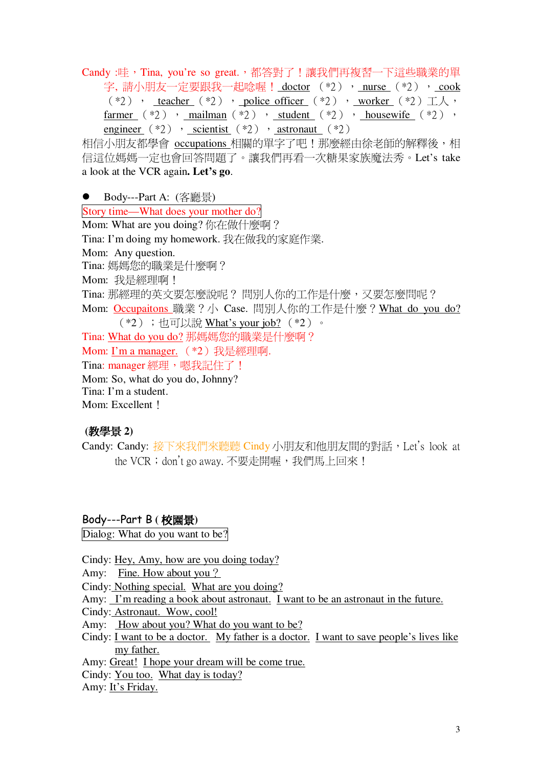Candy :哇, Tina, you're so great., 都答對了!讓我們再複習一下這些職業的單 字,請小朋友一定要跟我一起唸喔! doctor (\*2), nurse (\*2), cook  $(*2)$  , <u>teacher</u>  $(*2)$  , police officer  $(*2)$  , worker  $(*2) \perp \wedge$ farmer  $(*2)$ , mailman  $(*2)$ , student  $(*2)$ , housewife  $(*2)$ , engineer  $(*2)$ , scientist  $(*2)$ , astronaut  $(*2)$ 

相信小朋友都學會 occupations 相關的單字了吧!那麼經由徐老師的解釋後,相 信這位媽媽一定也會回答問題了。讓我們再看一次糖果家族魔法秀。Let's take a look at the VCR again. Let's go.

● Body---Part A:  $(\overline{\mathcal{R}}\overline{\mathbb{R}}\overline{\mathbb{R}})$ 

Story time—What does your mother do? Mom: What are you doing? 你在做什麼啊? Tina: I'm doing my homework. 我在做我的家庭作業. Mom: Any question. Tina: 媽媽您的職業是什麼啊? Mom: 我是經理啊! Tina: 那經理的英文要怎麼說呢?問別人你的工作是什麼, 又要怎麼問呢? Mom: Occupaitons 職業?小 Case. 間別人你的工作是什麼? What do you do? (\*2);也可以說 What's your job? (\*2)。 Tina: What do you do? 那媽媽您的職業是什麼啊? Mom: I'm a manager. (\*2)我是經理啊. Tina: manager 經理, 嗯我記住了! Mom: So, what do you do, Johnny? Tina: I'm a student. Mom: Excellent 1

## (教學景2)

Candy: Candy: 接下來我們來聽聽 Cindy 小朋友和他朋友間的對話, Let's look at the VCR; don't go away. 不要走開喔, 我們馬上回來!

Body---Part B (校園景)

Dialog: What do you want to be?

Cindy: Hey, Amy, how are you doing today?

Amy: Fine. How about you ?

Cindy: Nothing special. What are you doing?

Amy: I'm reading a book about astronaut. I want to be an astronaut in the future.

Cindy: Astronaut. Wow, cool!

Amy: How about you? What do you want to be?

Cindy:  $I$  want to be a doctor. My father is a doctor. I want to save people's lives like my father.

Amy: Great! I hope your dream will be come true.

Cindy: You too. What day is today?

Amy: It's Friday.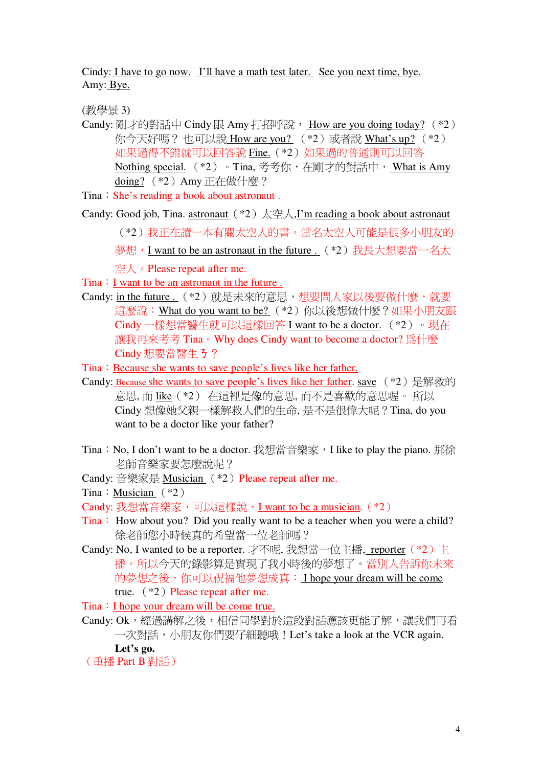Cindy: I have to go now. I'll have a math test later. See you next time, bye. Amy: Bye.

(教學景3)

- Candy: 剛才的對話中 Cindy 跟 Amy 打招呼說, How are you doing today? (\*2) 你今天好嗎? 也可以說 How are you? (\*2)或者說 What's up? (\*2) 如果過得不錯就可以回答說 Fine. (\*2) 如果過的普通則可以回答 Nothing special. (\*2)。Tina, 考考你, 在剛才的對話中, What is Amy doing? (\*2) Amy 正在做什麼?
- Tina: She's reading a book about astronaut.
- Candy: Good job, Tina. astronaut  $(*2) \star \stackrel{\text{def}}{=} \mathcal{A}$ , I'm reading a book about astronaut
	- (\*2)我正在讀一本有關太空人的書。當名太空人可能是很多小朋友的
	- 夢想, I want to be an astronaut in the future. (\*2) 我長大想要當一名太

空人。Please repeat after me.

Tina : I want to be an astronaut in the future.

- Candy: in the future. (\*2) 就是未來的意思,想要問人家以後要做什麼, 就要 這麼說: What do you want to be? (\*2) 你以後想做什麼?如果小朋友跟 Cindy一樣想當醫生就可以這樣回答 I want to be a doctor. (\*2) 。現在 讓我再來考考 Tina。Why does Cindy want to become a doctor? 為什麼 Cindy 想要當醫生 3?
- Tina: Because she wants to save people's lives like her father.
- Candy: Because she wants to save people's lives like her father, save  $(*2)$  是解救的 意思, 而 like (\*2) 在這裡是像的意思, 而不是喜歡的意思喔。 所以 Cindy 想像她父親一樣解救人們的生命, 是不是很偉大呢?Tina, do you want to be a doctor like your father?
- Tina: No, I don't want to be a doctor. 我想當音樂家, I like to play the piano. 那徐 老師音樂家要怎麼說呢?
- Candy: 音樂家是 Musician (\*2) Please repeat after me.

Tina: Musician  $(*2)$ 

- Tina: How about you? Did you really want to be a teacher when you were a child? 徐老師您小時候真的希望當一位老師嗎?
- Candy: No, I wanted to be a reporter. 才不呢, 我想當一位主播, reporter (\*2) 主 播。所以今天的錄影算是實現了我小時後的夢想了。當別人告訴你未來 的夢想之後,你可以祝福他夢想成真: I hope your dream will be come true.  $(*2)$  Please repeat after me.
- Tina : I hope your dream will be come true.
- Candy: Ok,經渦講解之後,相信同學對於這段對話應該更能了解,讓我們再看 一次對話,小朋友你們要仔細聽哦! Let's take a look at the VCR again.

Let's go.

(重播 Part B 對話)

Candy: 我想當音樂家,可以這樣說, I want to be a musician. (\*2)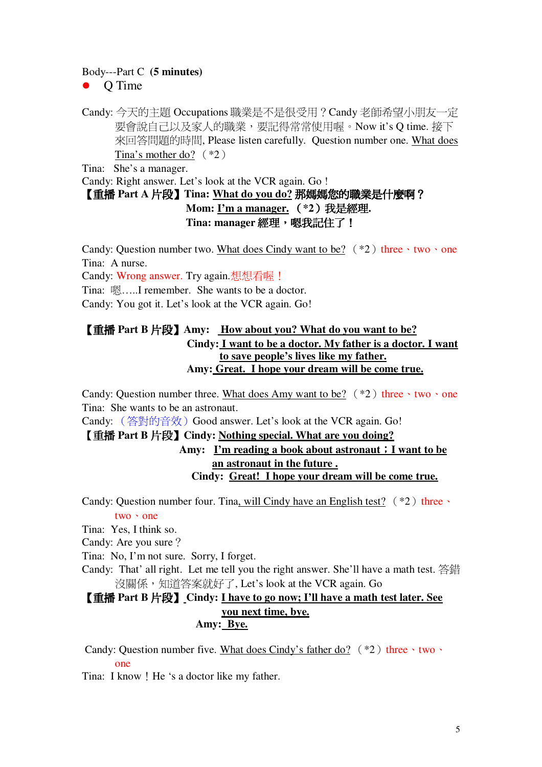#### Body---Part C (5 minutes)

 $\bullet$  O Time

Candy: 今天的主題 Occupations 職業是不是很受用? Candy 老師希望小朋友一定 要會說自己以及家人的職業,要記得常常使用喔。Now it's Q time. 接下 來回答問題的時間, Please listen carefully. Ouestion number one. What does Tina's mother do?  $(*2)$ 

Tina: She's a manager.

Candy: Right answer. Let's look at the VCR again. Go !

# 【重播 Part A 片段】Tina: What do you do? 那媽媽您的職業是什麼啊? Mom: I'm a manager. (\*2) 我是經理. Tina: manager 經理,嗯我記住了!

Candy: Question number two. What does Cindy want to be?  $(*2)$  three  $\cdot$  two  $\cdot$  one Tina: A nurse.

Candy: Wrong answer. Try again.想想看喔!

Tina: 嗯……I remember. She wants to be a doctor.

Candy: You got it. Let's look at the VCR again. Go!

## 【重播 Part B 片段】 Amy: How about you? What do you want to be? Cindy: I want to be a doctor. My father is a doctor. I want to save people's lives like my father. Amy: Great. I hope your dream will be come true.

Candy: Ouestion number three. What does Amy want to be?  $(*2)$  three  $\cdot$  two  $\cdot$  one Tina: She wants to be an astronaut.

Candy: (答對的音效) Good answer. Let's look at the VCR again. Go!

### 【重播 Part B 片段】 Cindy: Nothing special. What are you doing?

## Amy: I'm reading a book about astronaut : I want to be an astronaut in the future. Cindy: Great! I hope your dream will be come true.

Candy: Question number four. Tina, will Cindy have an English test?  $(*2)$  three  $two \rightarrow one$ 

Tina: Yes, I think so.

Candy: Are you sure?

Tina: No, I'm not sure. Sorry, I forget.

Candy: That' all right. Let me tell you the right answer. She'll have a math test. 答錯 沒關係,知道答案就好了, Let's look at the VCR again. Go

### 【重播 Part B 片段】 Cindy: I have to go now; I'll have a math test later. See vou next time, bye. Amy: Bye.

Candy: Question number five. What does Cindy's father do?  $(*2)$  three  $\cdot$  two  $\cdot$  $\Omega$ 

Tina: I know ! He 's a doctor like my father.